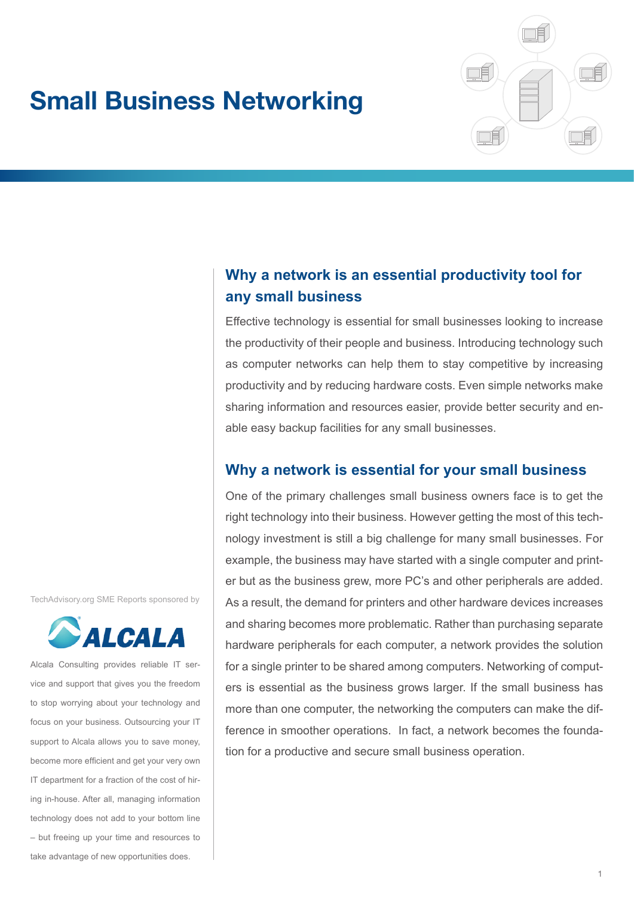# **Small Business Networking**



# **Why a network is an essential productivity tool for any small business**

Effective technology is essential for small businesses looking to increase the productivity of their people and business. Introducing technology such as computer networks can help them to stay competitive by increasing productivity and by reducing hardware costs. Even simple networks make sharing information and resources easier, provide better security and enable easy backup facilities for any small businesses.

# **Why a network is essential for your small business**

One of the primary challenges small business owners face is to get the right technology into their business. However getting the most of this technology investment is still a big challenge for many small businesses. For example, the business may have started with a single computer and printer but as the business grew, more PC's and other peripherals are added. As a result, the demand for printers and other hardware devices increases and sharing becomes more problematic. Rather than purchasing separate hardware peripherals for each computer, a network provides the solution for a single printer to be shared among computers. Networking of computers is essential as the business grows larger. If the small business has more than one computer, the networking the computers can make the difference in smoother operations. In fact, a network becomes the foundation for a productive and secure small business operation.

TechAdvisory.org SME Reports sponsored by



Alcala Consulting provides reliable IT service and support that gives you the freedom to stop worrying about your technology and focus on your business. Outsourcing your IT support to Alcala allows you to save money, become more efficient and get your very own IT department for a fraction of the cost of hiring in-house. After all, managing information technology does not add to your bottom line – but freeing up your time and resources to take advantage of new opportunities does.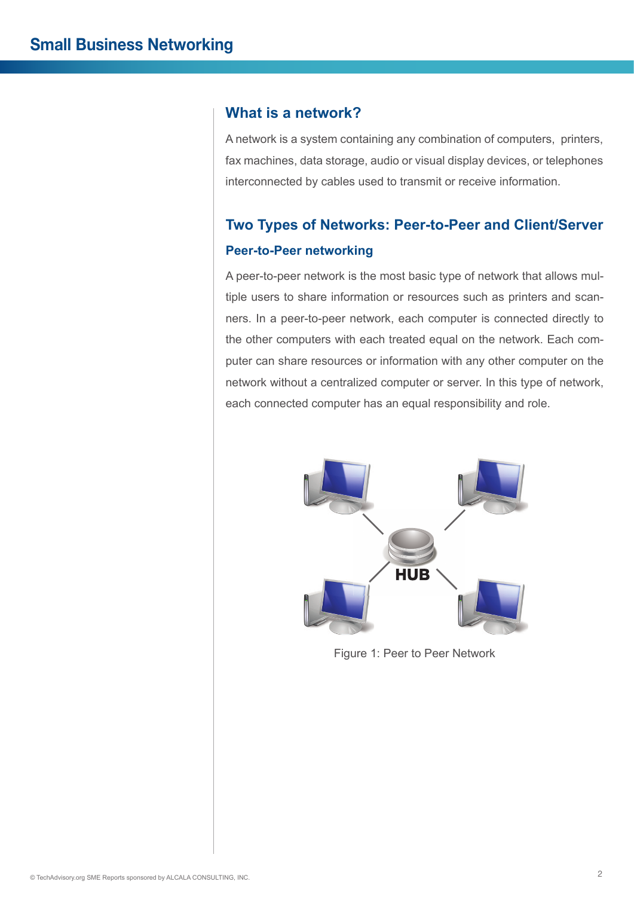## **What is a network?**

A network is a system containing any combination of computers, printers, fax machines, data storage, audio or visual display devices, or telephones interconnected by cables used to transmit or receive information.

# **Two Types of Networks: Peer-to-Peer and Client/Server Peer-to-Peer networking**

A peer-to-peer network is the most basic type of network that allows multiple users to share information or resources such as printers and scanners. In a peer-to-peer network, each computer is connected directly to the other computers with each treated equal on the network. Each computer can share resources or information with any other computer on the network without a centralized computer or server. In this type of network, each connected computer has an equal responsibility and role.



Figure 1: Peer to Peer Network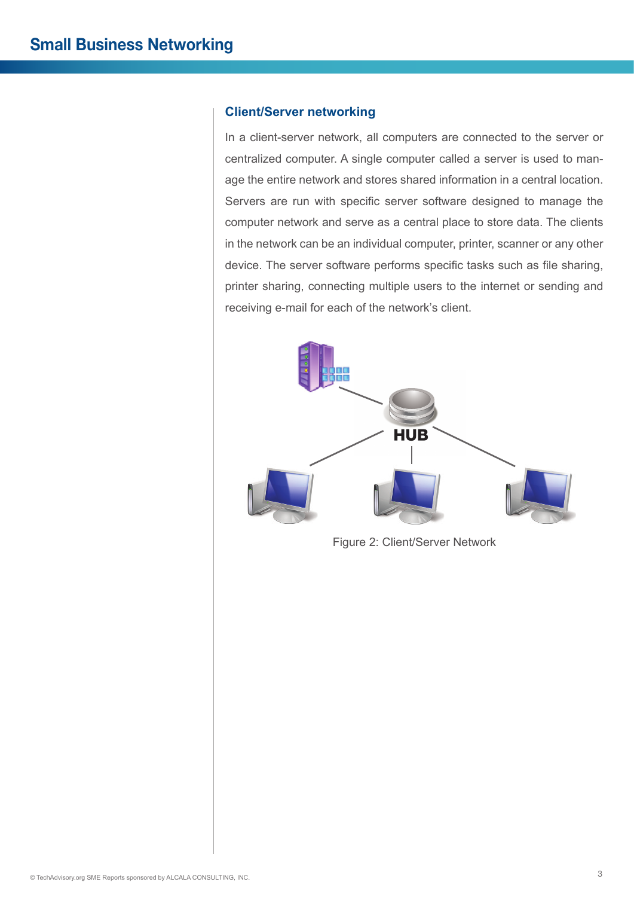#### **Client/Server networking**

In a client-server network, all computers are connected to the server or centralized computer. A single computer called a server is used to manage the entire network and stores shared information in a central location. Servers are run with specific server software designed to manage the computer network and serve as a central place to store data. The clients in the network can be an individual computer, printer, scanner or any other device. The server software performs specific tasks such as file sharing, printer sharing, connecting multiple users to the internet or sending and receiving e-mail for each of the network's client.



Figure 2: Client/Server Network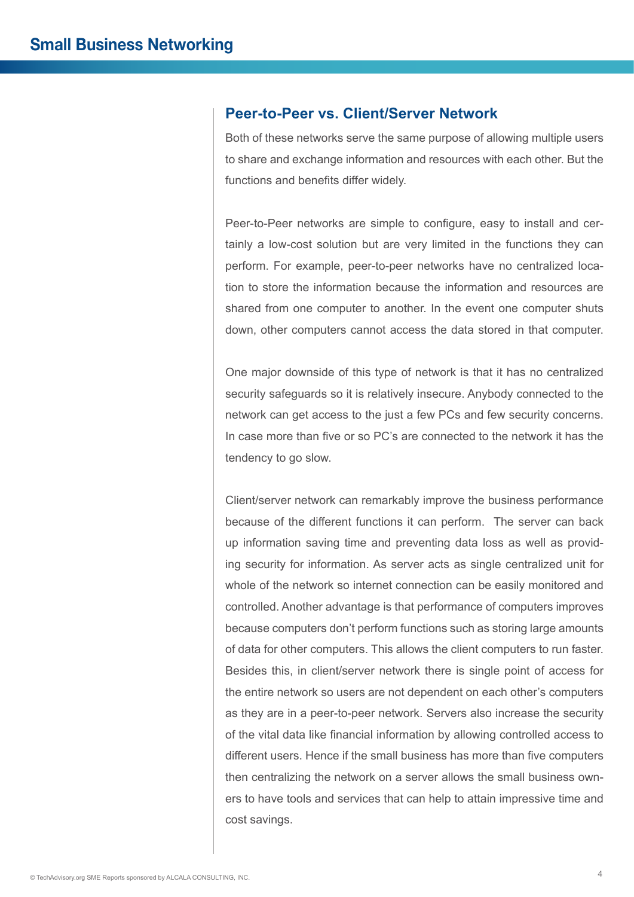#### **Peer-to-Peer vs. Client/Server Network**

Both of these networks serve the same purpose of allowing multiple users to share and exchange information and resources with each other. But the functions and benefits differ widely.

Peer-to-Peer networks are simple to configure, easy to install and certainly a low-cost solution but are very limited in the functions they can perform. For example, peer-to-peer networks have no centralized location to store the information because the information and resources are shared from one computer to another. In the event one computer shuts down, other computers cannot access the data stored in that computer.

One major downside of this type of network is that it has no centralized security safeguards so it is relatively insecure. Anybody connected to the network can get access to the just a few PCs and few security concerns. In case more than five or so PC's are connected to the network it has the tendency to go slow.

Client/server network can remarkably improve the business performance because of the different functions it can perform. The server can back up information saving time and preventing data loss as well as providing security for information. As server acts as single centralized unit for whole of the network so internet connection can be easily monitored and controlled. Another advantage is that performance of computers improves because computers don't perform functions such as storing large amounts of data for other computers. This allows the client computers to run faster. Besides this, in client/server network there is single point of access for the entire network so users are not dependent on each other's computers as they are in a peer-to-peer network. Servers also increase the security of the vital data like financial information by allowing controlled access to different users. Hence if the small business has more than five computers then centralizing the network on a server allows the small business owners to have tools and services that can help to attain impressive time and cost savings.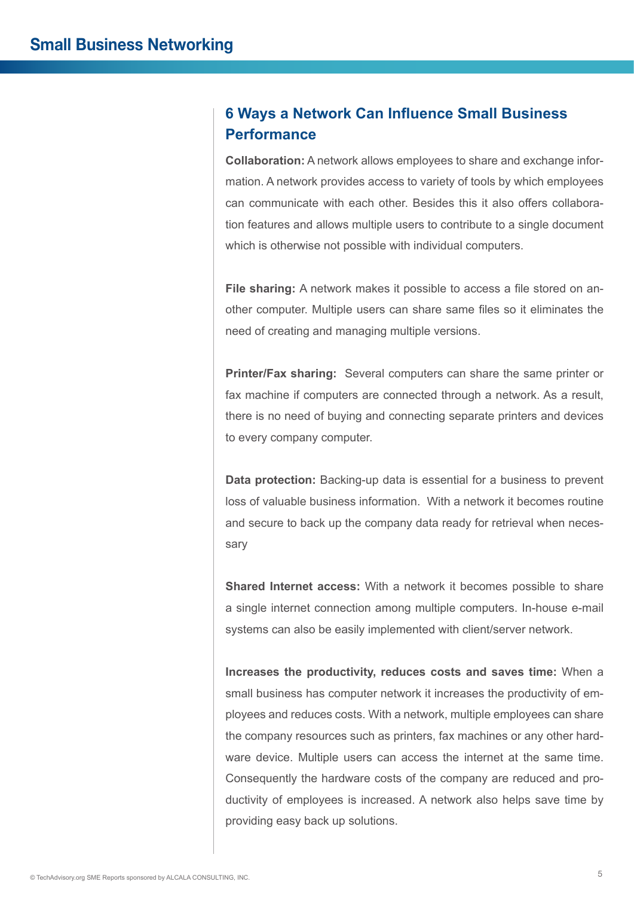# **6 Ways a Network Can Influence Small Business Performance**

**Collaboration:** A network allows employees to share and exchange information. A network provides access to variety of tools by which employees can communicate with each other. Besides this it also offers collaboration features and allows multiple users to contribute to a single document which is otherwise not possible with individual computers.

**File sharing:** A network makes it possible to access a file stored on another computer. Multiple users can share same files so it eliminates the need of creating and managing multiple versions.

**Printer/Fax sharing:** Several computers can share the same printer or fax machine if computers are connected through a network. As a result, there is no need of buying and connecting separate printers and devices to every company computer.

**Data protection:** Backing-up data is essential for a business to prevent loss of valuable business information. With a network it becomes routine and secure to back up the company data ready for retrieval when necessary

**Shared Internet access:** With a network it becomes possible to share a single internet connection among multiple computers. In-house e-mail systems can also be easily implemented with client/server network.

**Increases the productivity, reduces costs and saves time:** When a small business has computer network it increases the productivity of employees and reduces costs. With a network, multiple employees can share the company resources such as printers, fax machines or any other hardware device. Multiple users can access the internet at the same time. Consequently the hardware costs of the company are reduced and productivity of employees is increased. A network also helps save time by providing easy back up solutions.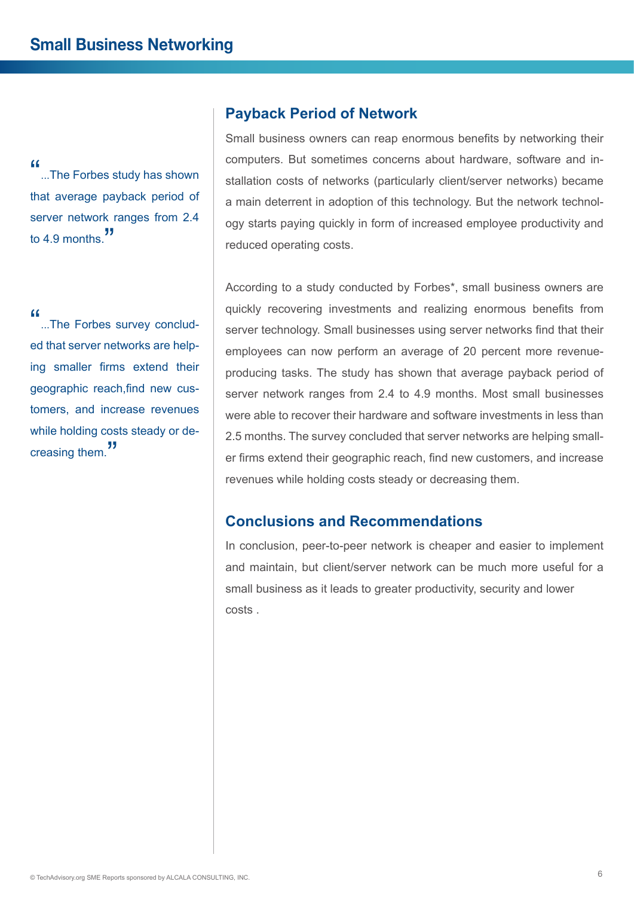"...The Forbes study has shown" that average payback period of server network ranges from 2.4 to 4.9 months."

"...The Forbes survey concluded that server networks are helping smaller firms extend their geographic reach,find new customers, and increase revenues while holding costs steady or decreasing them."

## **Payback Period of Network**

Small business owners can reap enormous benefits by networking their computers. But sometimes concerns about hardware, software and installation costs of networks (particularly client/server networks) became a main deterrent in adoption of this technology. But the network technology starts paying quickly in form of increased employee productivity and reduced operating costs.

According to a study conducted by Forbes\*, small business owners are quickly recovering investments and realizing enormous benefits from server technology. Small businesses using server networks find that their employees can now perform an average of 20 percent more revenueproducing tasks. The study has shown that average payback period of server network ranges from 2.4 to 4.9 months. Most small businesses were able to recover their hardware and software investments in less than 2.5 months. The survey concluded that server networks are helping smaller firms extend their geographic reach, find new customers, and increase revenues while holding costs steady or decreasing them.

# **Conclusions and Recommendations**

In conclusion, peer-to-peer network is cheaper and easier to implement and maintain, but client/server network can be much more useful for a small business as it leads to greater productivity, security and lower costs .